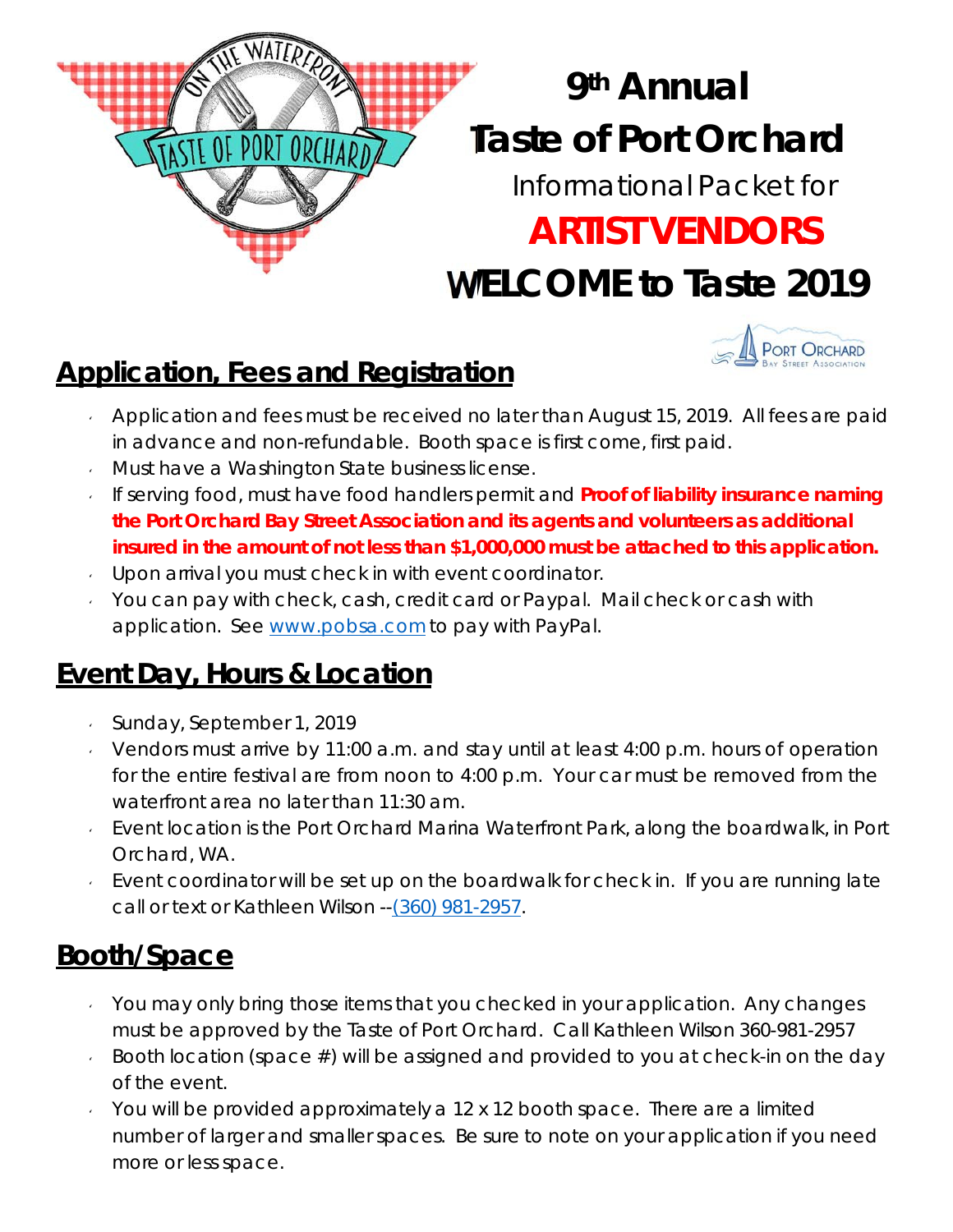# **T aste of Port Orchard W ELCOME to Taste 2019 9th Annual** Informational Packet for **ARTIST VENDORS**



## **Application, Fees and Registration**

WATERFO

ASTE OF PORT ORCHARD

- Application and fees must be received no later than August 15, 2019. All fees are paid in advance and non-refundable. Booth space is first come, first paid.
- **Must have a Washington State business license.**
- If serving food, must have food handlers permit and **Proof of liability insurance naming the Port Orchard Bay Street Association and its agents and volunteers as additional insured in the amount of not less than \$1,000,000 must be attached to this application.**
- Upon arrival you must check in with event coordinator.
- $\sim$  You can pay with check, cash, credit card or Paypal. Mail check or cash with application. See www.pobsa.com to pay with PayPal.

### **Event Day, Hours & Location**

- Sunday, September 1, 2019
- Vendors must arrive by 11:00 a.m. and stay until at least  $4:00$  p.m. hours of operation for the entire festival are from noon to 4:00 p.m. Your car must be removed from the waterfront area no later than 11:30 am.
- Event location is the Port Orchard Marina Waterfront Park, along the boardwalk, in Port Orchard, WA.
- Event coordinator will be set up on the boardwalk for check in. If you are running late call or text or Kathleen Wilson -- (360) 981-2957.

## **Booth/Space**

- $\sqrt{y}$  You may only bring those items that you checked in your application. Any changes must be approved by the Taste of Port Orchard. Call Kathleen Wilson 360-981-2957
- Booth location (space  $#$ ) will be assigned and provided to you at check-in on the day of the event.
- $\sim$  You will be provided approximately a 12 x 12 booth space. There are a limited number of larger and smaller spaces. Be sure to note on your application if you need more or less space.